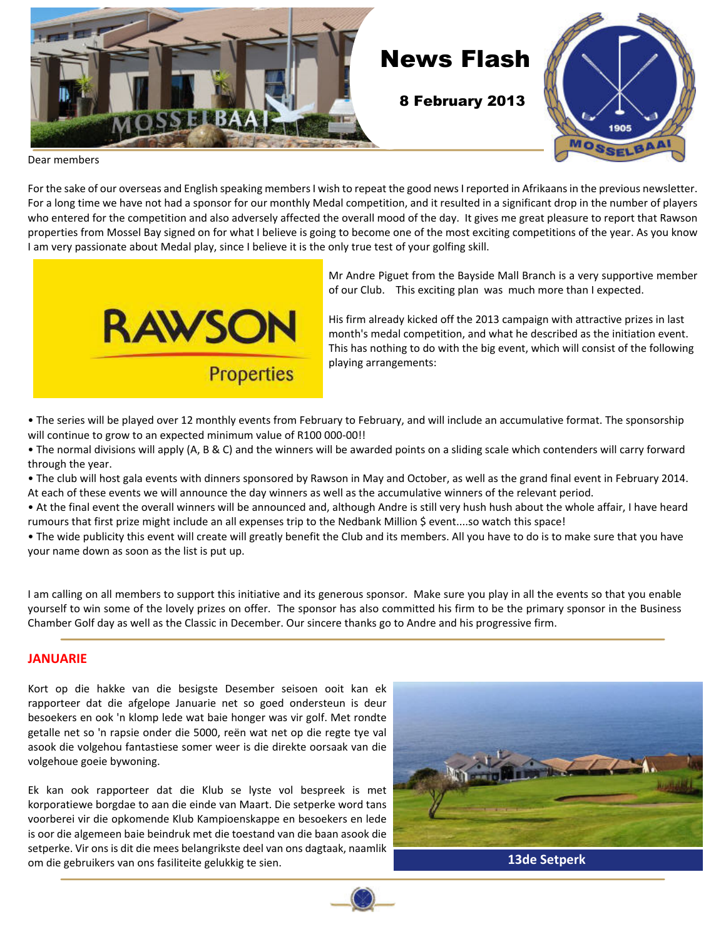

Dear members

For the sake of our overseas and English speaking members I wish to repeat the good news I reported in Afrikaans in the previous newsletter. For a long time we have not had a sponsor for our monthly Medal competition, and it resulted in a significant drop in the number of players who entered for the competition and also adversely affected the overall mood of the day. It gives me great pleasure to report that Rawson properties from Mossel Bay signed on for what I believe is going to become one of the most exciting competitions of the year. As you know I am very passionate about Medal play, since I believe it is the only true test of your golfing skill.



Mr Andre Piguet from the Bayside Mall Branch is a very supportive member of our Club. This exciting plan was much more than I expected.

His firm already kicked off the 2013 campaign with attractive prizes in last month's medal competition, and what he described as the initiation event. This has nothing to do with the big event, which will consist of the following playing arrangements:

• The series will be played over 12 monthly events from February to February, and will include an accumulative format. The sponsorship will continue to grow to an expected minimum value of R100 000-00!!

• The normal divisions will apply (A, B & C) and the winners will be awarded points on a sliding scale which contenders will carry forward through the year.

• The club will host gala events with dinners sponsored by Rawson in May and October, as well as the grand final event in February 2014. At each of these events we will announce the day winners as well as the accumulative winners of the relevant period.

• At the final event the overall winners will be announced and, although Andre is still very hush hush about the whole affair, I have heard rumours that first prize might include an all expenses trip to the Nedbank Million \$ event....so watch this space!

• The wide publicity this event will create will greatly benefit the Club and its members. All you have to do is to make sure that you have your name down as soon as the list is put up.

I am calling on all members to support this initiative and its generous sponsor. Make sure you play in all the events so that you enable yourself to win some of the lovely prizes on offer. The sponsor has also committed his firm to be the primary sponsor in the Business Chamber Golf day as well as the Classic in December. Our sincere thanks go to Andre and his progressive firm.

### **JANUARIE**

Kort op die hakke van die besigste Desember seisoen ooit kan ek rapporteer dat die afgelope Januarie net so goed ondersteun is deur besoekers en ook 'n klomp lede wat baie honger was vir golf. Met rondte getalle net so 'n rapsie onder die 5000, reën wat net op die regte tye val asook die volgehou fantastiese somer weer is die direkte oorsaak van die volgehoue goeie bywoning.

Ek kan ook rapporteer dat die Klub se lyste vol bespreek is met korporatiewe borgdae to aan die einde van Maart. Die setperke word tans voorberei vir die opkomende Klub Kampioenskappe en besoekers en lede is oor die algemeen baie beindruk met die toestand van die baan asook die setperke. Vir ons is dit die mees belangrikste deel van ons dagtaak, naamlik om die gebruikers van ons fasiliteite gelukkig te sien. **13de Setperk**

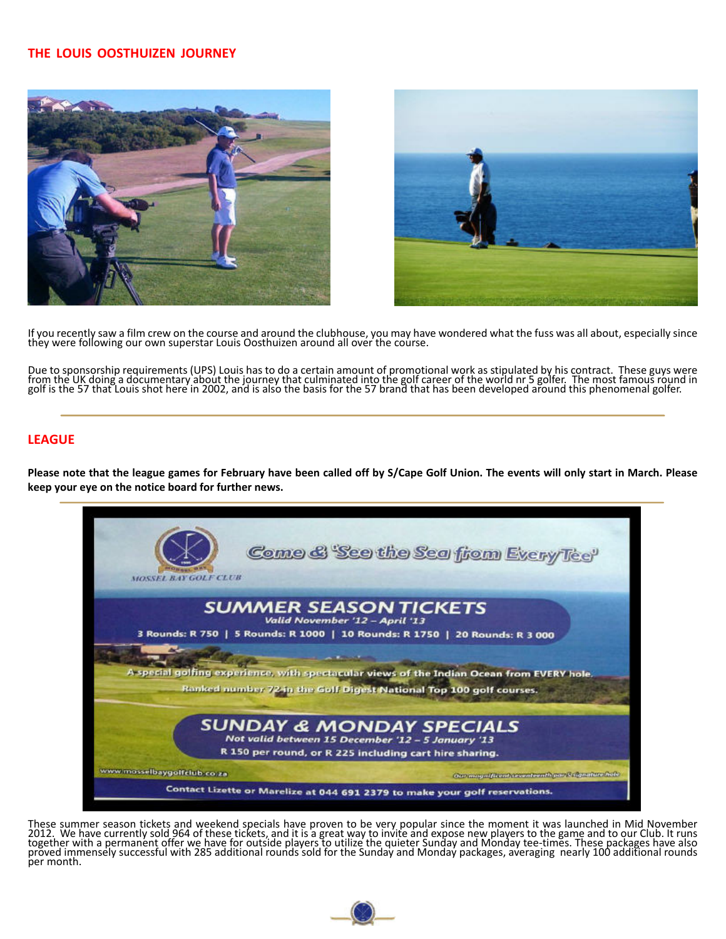### **THE LOUIS OOSTHUIZEN JOURNEY**





If you recently saw a film crew on the course and around the clubhouse, you may have wondered what the fuss was all about, especially since they were following our own superstar Louis Oosthuizen around all over the course.

Due to sponsorship requirements (UPS) Louis has to do a certain amount of promotional work as stipulated by his contract. These guys were<br>from the UK doing a documentary about the journey that culminated into the golf care

### **LEAGUE**

**Please note that the league games for February have been called off by S/Cape Golf Union. The events will only start in March. Please keep your eye on the notice board for further news.**



These summer season tickets and weekend specials have proven to be very popular since the moment it was launched in Mid November 2012. We have currently sold 964 of these tickets, and it is a great way to invite and expose new players to the game and to our Club. It runs<br>together with a permanent offer we have for outside players to utilize the quie per month.

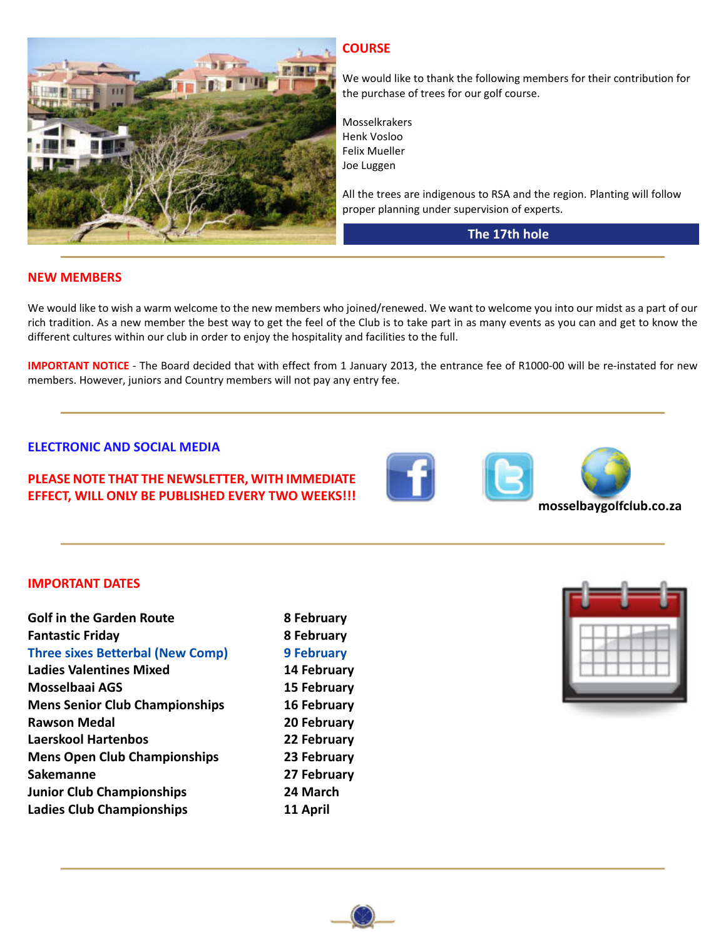

### **COURSE**

We would like to thank the following members for their contribution for the purchase of trees for our golf course.

Mosselkrakers Henk Vosloo Felix Mueller Joe Luggen

All the trees are indigenous to RSA and the region. Planting will follow proper planning under supervision of experts.

### **The 17th hole**

### **NEW MEMBERS**

We would like to wish a warm welcome to the new members who joined/renewed. We want to welcome you into our midst as a part of our rich tradition. As a new member the best way to get the feel of the Club is to take part in as many events as you can and get to know the different cultures within our club in order to enjoy the hospitality and facilities to the full.

**IMPORTANT NOTICE** - The Board decided that with effect from 1 January 2013, the entrance fee of R1000-00 will be re-instated for new members. However, juniors and Country members will not pay any entry fee.

#### **ELECTRONIC AND SOCIAL MEDIA**

### **PLEASE NOTE THAT THE NEWSLETTER, WITH IMMEDIATE EFFECT, WILL ONLY BE PUBLISHED EVERY TWO WEEKS!!! Mosselbaygolfclub.co.za**





#### **IMPORTANT DATES**

| <b>Golf in the Garden Route</b>         | 8 February         |
|-----------------------------------------|--------------------|
| <b>Fantastic Friday</b>                 | 8 February         |
| <b>Three sixes Betterbal (New Comp)</b> | <b>9 February</b>  |
| <b>Ladies Valentines Mixed</b>          | 14 February        |
| Mosselbaai AGS                          | <b>15 February</b> |
| <b>Mens Senior Club Championships</b>   | <b>16 February</b> |
| <b>Rawson Medal</b>                     | 20 February        |
| Laerskool Hartenbos                     | 22 February        |
| <b>Mens Open Club Championships</b>     | 23 February        |
| <b>Sakemanne</b>                        | 27 February        |
| <b>Junior Club Championships</b>        | 24 March           |
| <b>Ladies Club Championships</b>        | 11 April           |
|                                         |                    |

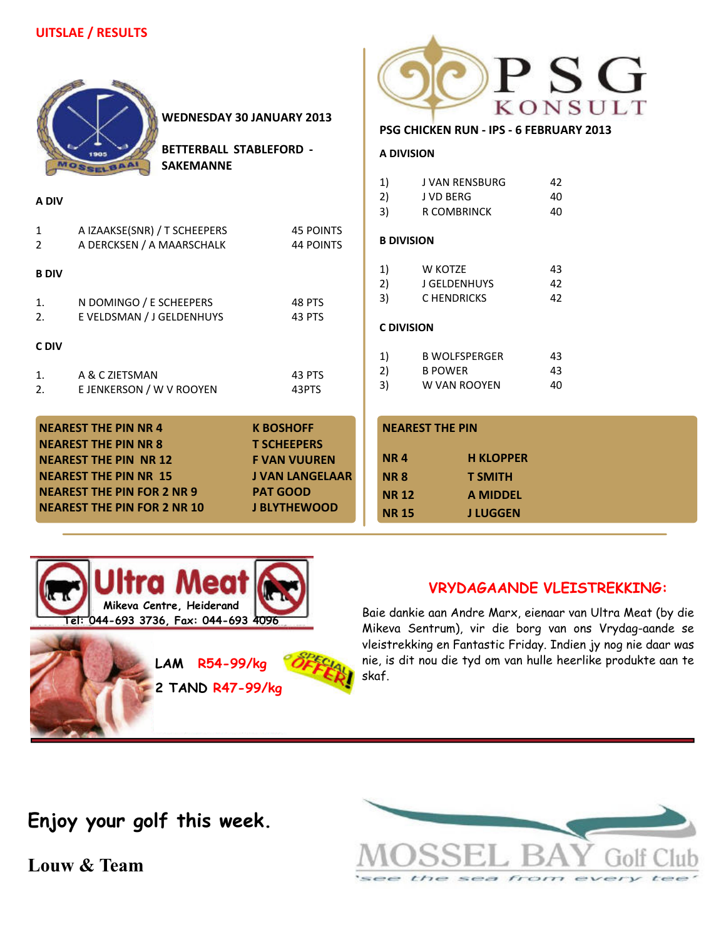| <b>WEDNESDAY 30 JANUARY 2013</b><br><b>BETTERBALL STABLEFORD -</b><br><b>SAKEMANNE</b><br><b>MOSSELBAA</b>                                                                                                                                                                                                                                 |                                                           | PSG<br>KONSULT<br>PSG CHICKEN RUN - IPS - 6 FEBRUARY 2013<br><b>A DIVISION</b> |                                                                                                    |                                                        |                |
|--------------------------------------------------------------------------------------------------------------------------------------------------------------------------------------------------------------------------------------------------------------------------------------------------------------------------------------------|-----------------------------------------------------------|--------------------------------------------------------------------------------|----------------------------------------------------------------------------------------------------|--------------------------------------------------------|----------------|
| A DIV                                                                                                                                                                                                                                                                                                                                      |                                                           |                                                                                | 1)<br>2)<br>3)                                                                                     | J VAN RENSBURG<br>J VD BERG<br><b>R COMBRINCK</b>      | 42<br>40<br>40 |
| $\mathbf{1}$<br>$\overline{2}$                                                                                                                                                                                                                                                                                                             | A IZAAKSE(SNR) / T SCHEEPERS<br>A DERCKSEN / A MAARSCHALK | <b>45 POINTS</b><br><b>44 POINTS</b>                                           | <b>B DIVISION</b>                                                                                  |                                                        |                |
| <b>B DIV</b><br>1.<br>2.                                                                                                                                                                                                                                                                                                                   | N DOMINGO / E SCHEEPERS<br>E VELDSMAN / J GELDENHUYS      | 48 PTS<br>43 PTS                                                               | 1)<br>2)<br>3)<br><b>C DIVISION</b>                                                                | W KOTZE<br>J GELDENHUYS<br>C HENDRICKS                 | 43<br>42<br>42 |
| C DIV<br>1.<br>2.                                                                                                                                                                                                                                                                                                                          | A & C ZIETSMAN<br>E JENKERSON / W V ROOYEN                | 43 PTS<br>43PTS                                                                | 1)<br>2)<br>3)                                                                                     | <b>B WOLFSPERGER</b><br><b>B POWER</b><br>W VAN ROOYEN | 43<br>43<br>40 |
| <b>NEAREST THE PIN NR 4</b><br><b>K BOSHOFF</b><br><b>NEAREST THE PIN NR 8</b><br><b>T SCHEEPERS</b><br><b>NEAREST THE PIN NR 12</b><br><b>F VAN VUUREN</b><br><b>NEAREST THE PIN NR 15</b><br><b>J VAN LANGELAAR</b><br><b>NEAREST THE PIN FOR 2 NR 9</b><br><b>PAT GOOD</b><br><b>NEAREST THE PIN FOR 2 NR 10</b><br><b>J BLYTHEWOOD</b> |                                                           | <b>NR4</b><br><b>NR8</b><br><b>NR12</b><br><b>NR15</b>                         | <b>NEAREST THE PIN</b><br><b>H KLOPPER</b><br><b>T SMITH</b><br><b>A MIDDEL</b><br><b>J LUGGEN</b> |                                                        |                |



**LAM R54-99/kg**

**2 TAND R47-99/kg**

### **VRYDAGAANDE VLEISTREKKING:**

Baie dankie aan Andre Marx, eienaar van Ultra Meat (by die Mikeva Sentrum), vir die borg van ons Vrydag-aande se vleistrekking en Fantastic Friday. Indien jy nog nie daar was nie, is dit nou die tyd om van hulle heerlike produkte aan te skaf.



**Louw & Team**